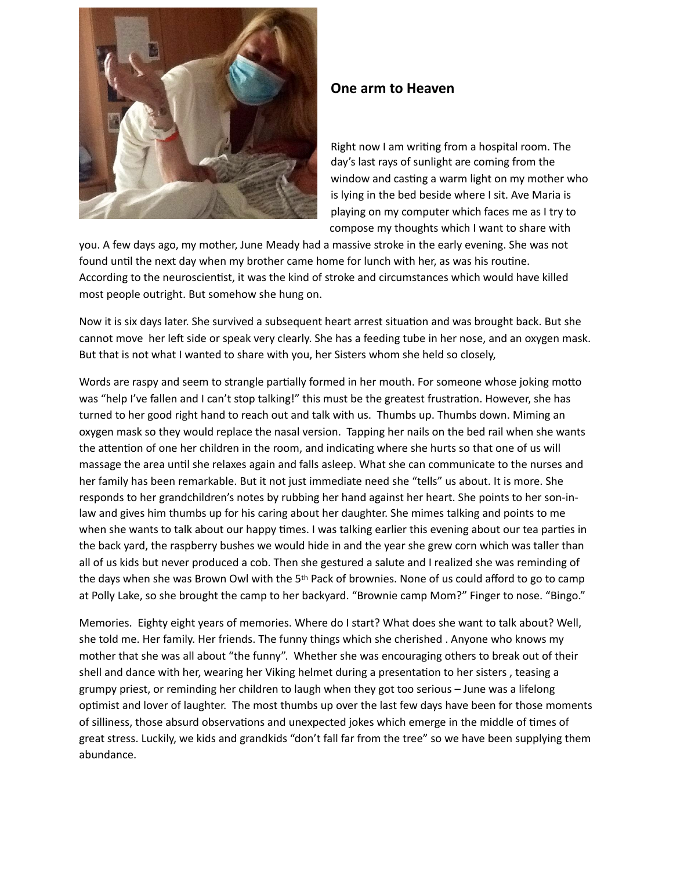

## **One arm to Heaven**

Right now I am writing from a hospital room. The day's last rays of sunlight are coming from the window and casting a warm light on my mother who is lying in the bed beside where I sit. Ave Maria is playing on my computer which faces me as I try to compose my thoughts which I want to share with

you. A few days ago, my mother, June Meady had a massive stroke in the early evening. She was not found until the next day when my brother came home for lunch with her, as was his routine. According to the neuroscientist, it was the kind of stroke and circumstances which would have killed most people outright. But somehow she hung on.

Now it is six days later. She survived a subsequent heart arrest situation and was brought back. But she cannot move her left side or speak very clearly. She has a feeding tube in her nose, and an oxygen mask. But that is not what I wanted to share with you, her Sisters whom she held so closely,

Words are raspy and seem to strangle partially formed in her mouth. For someone whose joking motto was "help I've fallen and I can't stop talking!" this must be the greatest frustration. However, she has turned to her good right hand to reach out and talk with us. Thumbs up. Thumbs down. Miming an oxygen mask so they would replace the nasal version. Tapping her nails on the bed rail when she wants the attention of one her children in the room, and indicating where she hurts so that one of us will massage the area until she relaxes again and falls asleep. What she can communicate to the nurses and her family has been remarkable. But it not just immediate need she "tells" us about. It is more. She responds to her grandchildren's notes by rubbing her hand against her heart. She points to her son-inlaw and gives him thumbs up for his caring about her daughter. She mimes talking and points to me when she wants to talk about our happy times. I was talking earlier this evening about our tea parties in the back yard, the raspberry bushes we would hide in and the year she grew corn which was taller than all of us kids but never produced a cob. Then she gestured a salute and I realized she was reminding of the days when she was Brown Owl with the  $5<sup>th</sup>$  Pack of brownies. None of us could afford to go to camp at Polly Lake, so she brought the camp to her backyard. "Brownie camp Mom?" Finger to nose. "Bingo."

Memories. Eighty eight years of memories. Where do I start? What does she want to talk about? Well, she told me. Her family. Her friends. The funny things which she cherished . Anyone who knows my mother that she was all about "the funny". Whether she was encouraging others to break out of their shell and dance with her, wearing her Viking helmet during a presentation to her sisters, teasing a grumpy priest, or reminding her children to laugh when they got too serious - June was a lifelong optimist and lover of laughter. The most thumbs up over the last few days have been for those moments of silliness, those absurd observations and unexpected jokes which emerge in the middle of times of great stress. Luckily, we kids and grandkids "don't fall far from the tree" so we have been supplying them abundance.